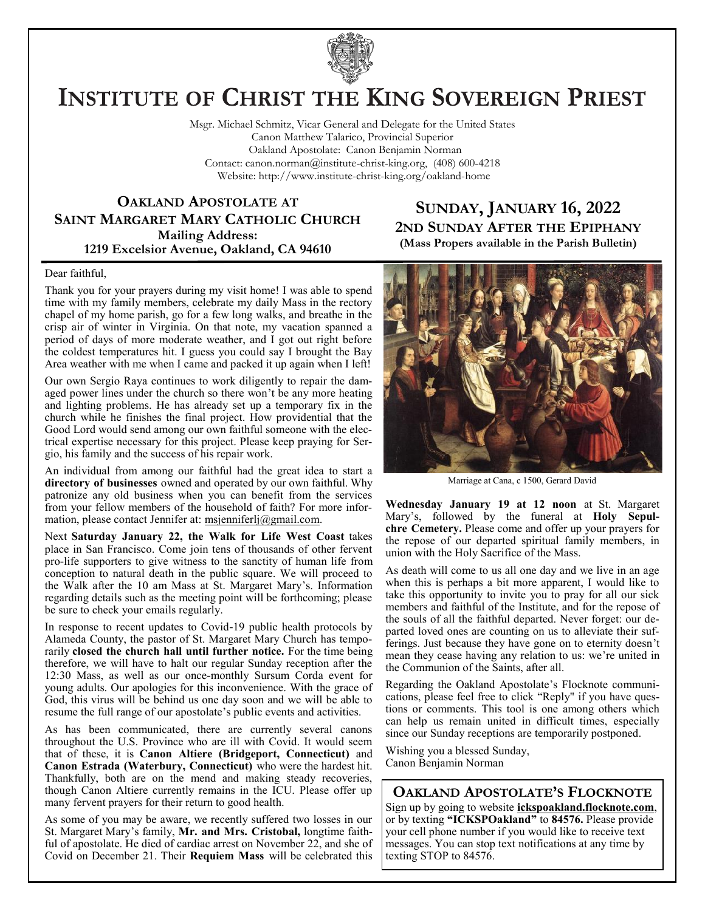

# **INSTITUTE OF CHRIST THE KING SOVEREIGN PRIEST**

Msgr. Michael Schmitz, Vicar General and Delegate for the United States Canon Matthew Talarico, Provincial Superior Oakland Apostolate: Canon Benjamin Norman Contact: canon.norman@institute-christ-king.org, (408) 600-4218 Website: http://www.institute-christ-king.org/oakland-home

## **OAKLAND APOSTOLATE AT SAINT MARGARET MARY CATHOLIC CHURCH Mailing Address: 1219 Excelsior Avenue, Oakland, CA 94610**

# **SUNDAY, JANUARY 16, 2022 2ND SUNDAY AFTER THE EPIPHANY (Mass Propers available in the Parish Bulletin)**

#### Dear faithful,

Thank you for your prayers during my visit home! I was able to spend time with my family members, celebrate my daily Mass in the rectory chapel of my home parish, go for a few long walks, and breathe in the crisp air of winter in Virginia. On that note, my vacation spanned a period of days of more moderate weather, and I got out right before the coldest temperatures hit. I guess you could say I brought the Bay Area weather with me when I came and packed it up again when I left!

Our own Sergio Raya continues to work diligently to repair the damaged power lines under the church so there won't be any more heating and lighting problems. He has already set up a temporary fix in the church while he finishes the final project. How providential that the Good Lord would send among our own faithful someone with the electrical expertise necessary for this project. Please keep praying for Sergio, his family and the success of his repair work.

An individual from among our faithful had the great idea to start a **directory of businesses** owned and operated by our own faithful. Why patronize any old business when you can benefit from the services from your fellow members of the household of faith? For more information, please contact Jennifer at: [msjenniferlj@gmail.com.](mailto:msjenniferlj@gmail.com)

Next **Saturday January 22, the Walk for Life West Coast** takes place in San Francisco. Come join tens of thousands of other fervent pro-life supporters to give witness to the sanctity of human life from conception to natural death in the public square. We will proceed to the Walk after the 10 am Mass at St. Margaret Mary's. Information regarding details such as the meeting point will be forthcoming; please be sure to check your emails regularly.

In response to recent updates to Covid-19 public health protocols by Alameda County, the pastor of St. Margaret Mary Church has temporarily **closed the church hall until further notice.** For the time being therefore, we will have to halt our regular Sunday reception after the 12:30 Mass, as well as our once-monthly Sursum Corda event for young adults. Our apologies for this inconvenience. With the grace of God, this virus will be behind us one day soon and we will be able to resume the full range of our apostolate's public events and activities.

As has been communicated, there are currently several canons throughout the U.S. Province who are ill with Covid. It would seem that of these, it is **Canon Altiere (Bridgeport, Connecticut)** and **Canon Estrada (Waterbury, Connecticut)** who were the hardest hit. Thankfully, both are on the mend and making steady recoveries, though Canon Altiere currently remains in the ICU. Please offer up many fervent prayers for their return to good health.

As some of you may be aware, we recently suffered two losses in our St. Margaret Mary's family, **Mr. and Mrs. Cristobal,** longtime faithful of apostolate. He died of cardiac arrest on November 22, and she of Covid on December 21. Their **Requiem Mass** will be celebrated this



Marriage at Cana, c 1500, Gerard David

**Wednesday January 19 at 12 noon** at St. Margaret Mary's, followed by the funeral at **Holy Sepulchre Cemetery.** Please come and offer up your prayers for the repose of our departed spiritual family members, in union with the Holy Sacrifice of the Mass.

As death will come to us all one day and we live in an age when this is perhaps a bit more apparent, I would like to take this opportunity to invite you to pray for all our sick members and faithful of the Institute, and for the repose of the souls of all the faithful departed. Never forget: our departed loved ones are counting on us to alleviate their sufferings. Just because they have gone on to eternity doesn't mean they cease having any relation to us: we're united in the Communion of the Saints, after all.

Regarding the Oakland Apostolate's Flocknote communications, please feel free to click "Reply" if you have questions or comments. This tool is one among others which can help us remain united in difficult times, especially since our Sunday receptions are temporarily postponed.

Wishing you a blessed Sunday, Canon Benjamin Norman

#### **OAKLAND APOSTOLATE'S FLOCKNOTE**

Sign up by going to website **ickspoakland.flocknote.com**, or by texting **"ICKSPOakland"** to **84576.** Please provide your cell phone number if you would like to receive text messages. You can stop text notifications at any time by texting STOP to 84576.